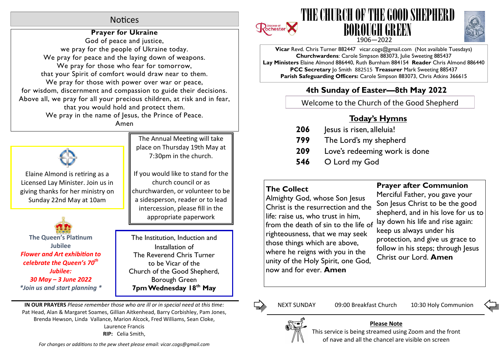# **Notices**

## **Prayer for Ukraine**

God of peace and justice, we pray for the people of Ukraine today. We pray for peace and the laying down of weapons. We pray for those who fear for tomorrow, that your Spirit of comfort would draw near to them. We pray for those with power over war or peace, for wisdom, discernment and compassion to guide their decisions. Above all, we pray for all your precious children, at risk and in fear, that you would hold and protect them. We pray in the name of Jesus, the Prince of Peace.

Amen



Elaine Almond is retiring as a Licensed Lay Minister. Join us in giving thanks for her ministry on Sunday 22nd May at 10am

**The Queen's Platinum Jubilee Flower and Art exhibition to** *celebrate the Queen's 70th Jubilee: 30 May – 3 June 2022 \*Join us and start planning \**

The Annual Meeting will take place on Thursday 19th May at 7:30pm in the church.

If you would like to stand for the church council or as churchwarden, or volunteer to be a sidesperson, reader or to lead intercession, please fill in the appropriate paperwork

The Institution, Induction and Installation of The Reverend Chris Turner to be Vicar of the Church of the Good Shepherd, Borough Green **7pm Wednesday 18th May**

**IN OUR PRAYERS** *Please remember those who are ill or in special need at this me:* Pat Head, Alan & Margaret Soames, Gillian Aitkenhead, Barry Corbishley, Pam Jones, Brenda Hewson, Linda Vallance, Marion Alcock, Fred Williams, Sean Cloke, Laurence Francis **RIP:** Celia Smith,







**Vicar** Revd. Chris Turner 882447 vicar.cogs@gmail.com (Not available Tuesdays) **Churchwardens**: Carole Simpson 883073, Julie Sweeting 885437 **Lay Ministers** Elaine Almond 886440, Ruth Burnham 884154 **Reader** Chris Almond 886440 **PCC Secretary** Jo Smith 882515 **Treasurer** Mark Sweeting 885437 **Parish Safeguarding Officers:** Carole Simpson 883073, Chris Atkins 366615

# **4th Sunday of Easter—8th May 2022**

Welcome to the Church of the Good Shepherd

# **Today's Hymns**

- **206** Jesus is risen, alleluia!
- **799** The Lord's my shepherd
- **209** Love's redeeming work is done
- **546** O Lord my God

# **The Collect**

Almighty God, whose Son Jesus Christ is the resurrection and the life: raise us, who trust in him, from the death of sin to the life of righteousness, that we may seek those things which are above, where he reigns with you in the unity of the Holy Spirit, one God, now and for ever. **Amen**

## **Prayer after Communion**

Merciful Father, you gave your Son Jesus Christ to be the good shepherd, and in his love for us to lay down his life and rise again: keep us always under his protection, and give us grace to follow in his steps; through Jesus Christ our Lord. **Amen**

Ľ,

NEXT SUNDAY 09:00 Breakfast Church 10:30 Holy Communion



## **Please Note**

This service is being streamed using Zoom and the front of nave and all the chancel are visible on screen